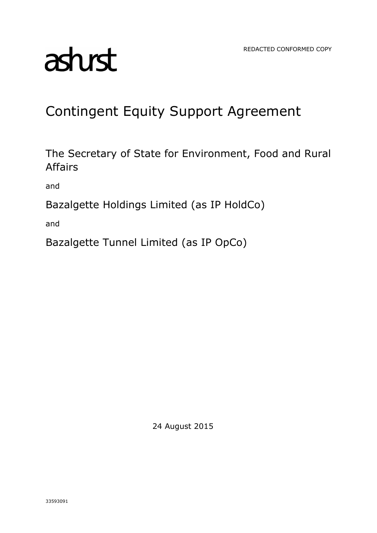# asturst

# Contingent Equity Support Agreement

The Secretary of State for Environment, Food and Rural Affairs

and

Bazalgette Holdings Limited (as IP HoldCo)

and

Bazalgette Tunnel Limited (as IP OpCo)

24 August 2015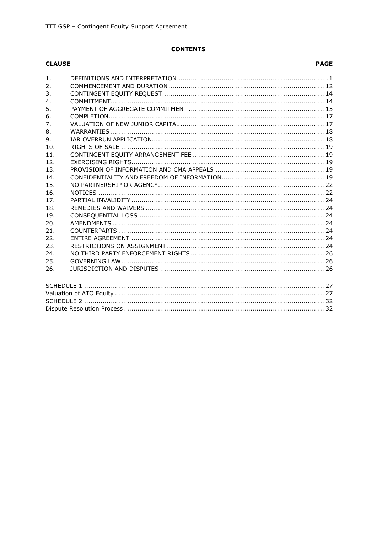# **CONTENTS**

# **CLAUSE**

# **PAGE**

| 1 <sub>1</sub> |  |  |  |  |
|----------------|--|--|--|--|
| 2.             |  |  |  |  |
| 3.             |  |  |  |  |
| 4.             |  |  |  |  |
| 5.             |  |  |  |  |
| 6.             |  |  |  |  |
| 7.             |  |  |  |  |
| 8.             |  |  |  |  |
| 9.             |  |  |  |  |
| 10.            |  |  |  |  |
| 11.            |  |  |  |  |
| 12.            |  |  |  |  |
| 13.            |  |  |  |  |
| 14.            |  |  |  |  |
| 15.            |  |  |  |  |
| 16.            |  |  |  |  |
| 17.            |  |  |  |  |
| 18.            |  |  |  |  |
| 19.            |  |  |  |  |
| 20.            |  |  |  |  |
| 21.            |  |  |  |  |
| 22.            |  |  |  |  |
| 23.            |  |  |  |  |
| 24.            |  |  |  |  |
| 25.            |  |  |  |  |
| 26.            |  |  |  |  |
|                |  |  |  |  |
|                |  |  |  |  |
|                |  |  |  |  |
|                |  |  |  |  |
|                |  |  |  |  |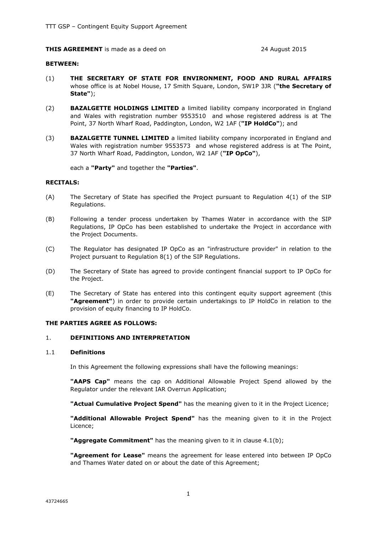#### **THIS AGREEMENT** is made as a deed on 24 August 2015

#### **BETWEEN:**

- (1) **THE SECRETARY OF STATE FOR ENVIRONMENT, FOOD AND RURAL AFFAIRS** whose office is at Nobel House, 17 Smith Square, London, SW1P 3JR (**"the Secretary of State"**);
- (2) **BAZALGETTE HOLDINGS LIMITED** a limited liability company incorporated in England and Wales with registration number 9553510 and whose registered address is at The Point, 37 North Wharf Road, Paddington, London, W2 1AF (**"IP HoldCo"**); and
- (3) **BAZALGETTE TUNNEL LIMITED** a limited liability company incorporated in England and Wales with registration number 9553573 and whose registered address is at The Point, 37 North Wharf Road, Paddington, London, W2 1AF (**"IP OpCo"**),

each a **"Party"** and together the **"Parties"**.

#### **RECITALS:**

- (A) The Secretary of State has specified the Project pursuant to Regulation 4(1) of the SIP Regulations.
- (B) Following a tender process undertaken by Thames Water in accordance with the SIP Regulations, IP OpCo has been established to undertake the Project in accordance with the Project Documents.
- (C) The Regulator has designated IP OpCo as an "infrastructure provider" in relation to the Project pursuant to Regulation 8(1) of the SIP Regulations.
- (D) The Secretary of State has agreed to provide contingent financial support to IP OpCo for the Project.
- (E) The Secretary of State has entered into this contingent equity support agreement (this **"Agreement"**) in order to provide certain undertakings to IP HoldCo in relation to the provision of equity financing to IP HoldCo.

#### **THE PARTIES AGREE AS FOLLOWS:**

#### 1. **DEFINITIONS AND INTERPRETATION**

#### 1.1 **Definitions**

In this Agreement the following expressions shall have the following meanings:

**"AAPS Cap"** means the cap on Additional Allowable Project Spend allowed by the Regulator under the relevant IAR Overrun Application;

**"Actual Cumulative Project Spend"** has the meaning given to it in the Project Licence;

**"Additional Allowable Project Spend"** has the meaning given to it in the Project Licence;

**"Aggregate Commitment"** has the meaning given to it in clause 4.1(b);

**"Agreement for Lease"** means the agreement for lease entered into between IP OpCo and Thames Water dated on or about the date of this Agreement;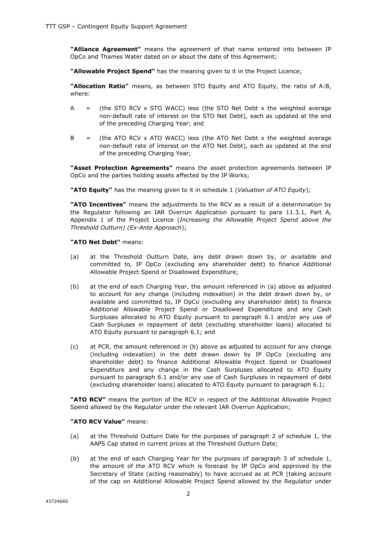**"Alliance Agreement"** means the agreement of that name entered into between IP OpCo and Thames Water dated on or about the date of this Agreement;

**"Allowable Project Spend"** has the meaning given to it in the Project Licence;

**"Allocation Ratio"** means, as between STO Equity and ATO Equity, the ratio of A:B, where:

- A  $=$  (the STO RCV x STO WACC) less (the STO Net Debt x the weighted average non-default rate of interest on the STO Net Debt), each as updated at the end of the preceding Charging Year; and
- $B =$  (the ATO RCV x ATO WACC) less (the ATO Net Debt x the weighted average non-default rate of interest on the ATO Net Debt), each as updated at the end of the preceding Charging Year;

**"Asset Protection Agreements"** means the asset protection agreements between IP OpCo and the parties holding assets affected by the IP Works;

**"ATO Equity"** has the meaning given to it in schedule 1 (*Valuation of ATO Equity*);

**"ATO Incentives"** means the adjustments to the RCV as a result of a determination by the Regulator following an IAR Overrun Application pursuant to para 11.3.1, Part A, Appendix 1 of the Project Licence (*Increasing the Allowable Project Spend above the Threshold Outturn) (Ex-Ante Approach*);

#### **"ATO Net Debt"** means:

- (a) at the Threshold Outturn Date, any debt drawn down by, or available and committed to, IP OpCo (excluding any shareholder debt) to finance Additional Allowable Project Spend or Disallowed Expenditure;
- (b) at the end of each Charging Year, the amount referenced in (a) above as adjusted to account for any change (including indexation) in the debt drawn down by, or available and committed to, IP OpCo (excluding any shareholder debt) to finance Additional Allowable Project Spend or Disallowed Expenditure and any Cash Surpluses allocated to ATO Equity pursuant to paragraph 6.1 and/or any use of Cash Surpluses in repayment of debt (excluding shareholder loans) allocated to ATO Equity pursuant to paragraph 6.1; and
- (c) at PCR, the amount referenced in (b) above as adjusted to account for any change (including indexation) in the debt drawn down by IP OpCo (excluding any shareholder debt) to finance Additional Allowable Project Spend or Disallowed Expenditure and any change in the Cash Surpluses allocated to ATO Equity pursuant to paragraph 6.1 and/or any use of Cash Surpluses in repayment of debt (excluding shareholder loans) allocated to ATO Equity pursuant to paragraph 6.1;

**"ATO RCV"** means the portion of the RCV in respect of the Additional Allowable Project Spend allowed by the Regulator under the relevant IAR Overrun Application;

#### **"ATO RCV Value"** means:

- (a) at the Threshold Outturn Date for the purposes of paragraph 2 of schedule 1, the AAPS Cap stated in current prices at the Threshold Outturn Date;
- (b) at the end of each Charging Year for the purposes of paragraph 3 of schedule  $1$ , the amount of the ATO RCV which is forecast by IP OpCo and approved by the Secretary of State (acting reasonably) to have accrued as at PCR (taking account of the cap on Additional Allowable Project Spend allowed by the Regulator under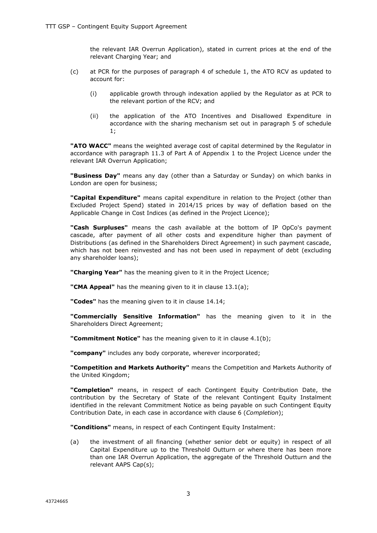the relevant IAR Overrun Application), stated in current prices at the end of the relevant Charging Year; and

- (c) at PCR for the purposes of paragraph 4 of schedule 1, the ATO RCV as updated to account for:
	- (i) applicable growth through indexation applied by the Regulator as at PCR to the relevant portion of the RCV; and
	- (ii) the application of the ATO Incentives and Disallowed Expenditure in accordance with the sharing mechanism set out in paragraph 5 of schedule 1;

**"ATO WACC"** means the weighted average cost of capital determined by the Regulator in accordance with paragraph 11.3 of Part A of Appendix 1 to the Project Licence under the relevant IAR Overrun Application;

**"Business Day"** means any day (other than a Saturday or Sunday) on which banks in London are open for business;

**"Capital Expenditure"** means capital expenditure in relation to the Project (other than Excluded Project Spend) stated in 2014/15 prices by way of deflation based on the Applicable Change in Cost Indices (as defined in the Project Licence);

**"Cash Surpluses"** means the cash available at the bottom of IP OpCo's payment cascade, after payment of all other costs and expenditure higher than payment of Distributions (as defined in the Shareholders Direct Agreement) in such payment cascade, which has not been reinvested and has not been used in repayment of debt (excluding any shareholder loans);

**"Charging Year"** has the meaning given to it in the Project Licence;

**"CMA Appeal"** has the meaning given to it in clause 13.1(a);

**"Codes"** has the meaning given to it in clause 14.14;

**"Commercially Sensitive Information"** has the meaning given to it in the Shareholders Direct Agreement;

**"Commitment Notice"** has the meaning given to it in clause 4.1(b);

**"company"** includes any body corporate, wherever incorporated;

**"Competition and Markets Authority"** means the Competition and Markets Authority of the United Kingdom;

**"Completion"** means, in respect of each Contingent Equity Contribution Date, the contribution by the Secretary of State of the relevant Contingent Equity Instalment identified in the relevant Commitment Notice as being payable on such Contingent Equity Contribution Date, in each case in accordance with clause 6 (*Completion*);

**"Conditions"** means, in respect of each Contingent Equity Instalment:

(a) the investment of all financing (whether senior debt or equity) in respect of all Capital Expenditure up to the Threshold Outturn or where there has been more than one IAR Overrun Application, the aggregate of the Threshold Outturn and the relevant AAPS Cap(s);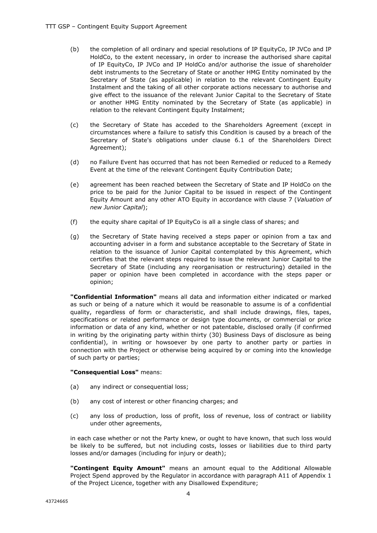- (b) the completion of all ordinary and special resolutions of IP EquityCo, IP JVCo and IP HoldCo, to the extent necessary, in order to increase the authorised share capital of IP EquityCo, IP JVCo and IP HoldCo and/or authorise the issue of shareholder debt instruments to the Secretary of State or another HMG Entity nominated by the Secretary of State (as applicable) in relation to the relevant Contingent Equity Instalment and the taking of all other corporate actions necessary to authorise and give effect to the issuance of the relevant Junior Capital to the Secretary of State or another HMG Entity nominated by the Secretary of State (as applicable) in relation to the relevant Contingent Equity Instalment;
- (c) the Secretary of State has acceded to the Shareholders Agreement (except in circumstances where a failure to satisfy this Condition is caused by a breach of the Secretary of State's obligations under clause 6.1 of the Shareholders Direct Agreement);
- (d) no Failure Event has occurred that has not been Remedied or reduced to a Remedy Event at the time of the relevant Contingent Equity Contribution Date;
- (e) agreement has been reached between the Secretary of State and IP HoldCo on the price to be paid for the Junior Capital to be issued in respect of the Contingent Equity Amount and any other ATO Equity in accordance with clause 7 (*Valuation of new Junior Capital*);
- (f) the equity share capital of IP EquityCo is all a single class of shares; and
- (g) the Secretary of State having received a steps paper or opinion from a tax and accounting adviser in a form and substance acceptable to the Secretary of State in relation to the issuance of Junior Capital contemplated by this Agreement, which certifies that the relevant steps required to issue the relevant Junior Capital to the Secretary of State (including any reorganisation or restructuring) detailed in the paper or opinion have been completed in accordance with the steps paper or opinion;

**"Confidential Information"** means all data and information either indicated or marked as such or being of a nature which it would be reasonable to assume is of a confidential quality, regardless of form or characteristic, and shall include drawings, files, tapes, specifications or related performance or design type documents, or commercial or price information or data of any kind, whether or not patentable, disclosed orally (if confirmed in writing by the originating party within thirty (30) Business Days of disclosure as being confidential), in writing or howsoever by one party to another party or parties in connection with the Project or otherwise being acquired by or coming into the knowledge of such party or parties;

#### **"Consequential Loss"** means:

- (a) any indirect or consequential loss;
- (b) any cost of interest or other financing charges; and
- (c) any loss of production, loss of profit, loss of revenue, loss of contract or liability under other agreements,

in each case whether or not the Party knew, or ought to have known, that such loss would be likely to be suffered, but not including costs, losses or liabilities due to third party losses and/or damages (including for injury or death);

**"Contingent Equity Amount"** means an amount equal to the Additional Allowable Project Spend approved by the Regulator in accordance with paragraph A11 of Appendix 1 of the Project Licence, together with any Disallowed Expenditure;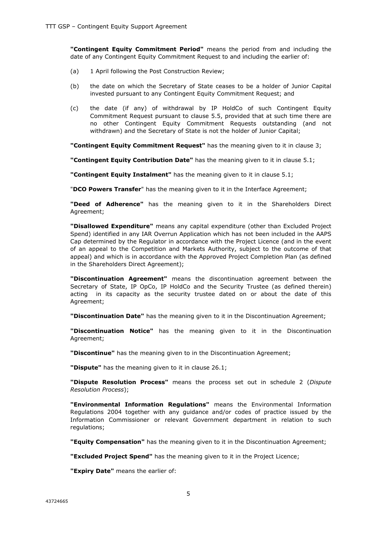**"Contingent Equity Commitment Period"** means the period from and including the date of any Contingent Equity Commitment Request to and including the earlier of:

- (a) 1 April following the Post Construction Review;
- (b) the date on which the Secretary of State ceases to be a holder of Junior Capital invested pursuant to any Contingent Equity Commitment Request; and
- (c) the date (if any) of withdrawal by IP HoldCo of such Contingent Equity Commitment Request pursuant to clause 5.5, provided that at such time there are no other Contingent Equity Commitment Requests outstanding (and not withdrawn) and the Secretary of State is not the holder of Junior Capital;

**"Contingent Equity Commitment Request"** has the meaning given to it in clause 3;

**"Contingent Equity Contribution Date"** has the meaning given to it in clause 5.1;

**"Contingent Equity Instalment"** has the meaning given to it in clause 5.1;

"**DCO Powers Transfer**" has the meaning given to it in the Interface Agreement;

**"Deed of Adherence"** has the meaning given to it in the Shareholders Direct Agreement;

**"Disallowed Expenditure"** means any capital expenditure (other than Excluded Project Spend) identified in any IAR Overrun Application which has not been included in the AAPS Cap determined by the Regulator in accordance with the Project Licence (and in the event of an appeal to the Competition and Markets Authority, subject to the outcome of that appeal) and which is in accordance with the Approved Project Completion Plan (as defined in the Shareholders Direct Agreement);

**"Discontinuation Agreement"** means the discontinuation agreement between the Secretary of State, IP OpCo, IP HoldCo and the Security Trustee (as defined therein) acting in its capacity as the security trustee dated on or about the date of this Agreement;

**"Discontinuation Date"** has the meaning given to it in the Discontinuation Agreement;

**"Discontinuation Notice"** has the meaning given to it in the Discontinuation Agreement;

**"Discontinue"** has the meaning given to in the Discontinuation Agreement;

**"Dispute"** has the meaning given to it in clause 26.1;

**"Dispute Resolution Process"** means the process set out in schedule 2 (*Dispute Resolution Process*);

**"Environmental Information Regulations"** means the Environmental Information Regulations 2004 together with any guidance and/or codes of practice issued by the Information Commissioner or relevant Government department in relation to such regulations;

**"Equity Compensation"** has the meaning given to it in the Discontinuation Agreement;

**"Excluded Project Spend"** has the meaning given to it in the Project Licence;

**"Expiry Date"** means the earlier of: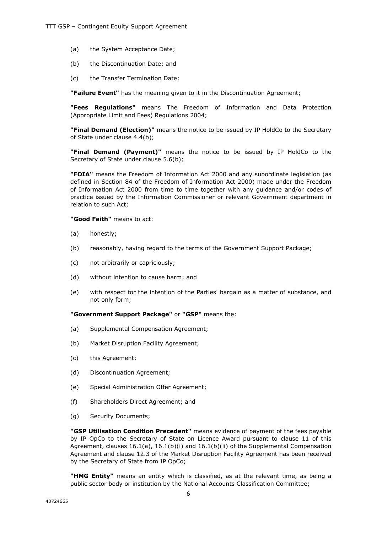- (a) the System Acceptance Date;
- (b) the Discontinuation Date; and
- (c) the Transfer Termination Date;

**"Failure Event"** has the meaning given to it in the Discontinuation Agreement;

**"Fees Regulations"** means The Freedom of Information and Data Protection (Appropriate Limit and Fees) Regulations 2004;

**"Final Demand (Election)"** means the notice to be issued by IP HoldCo to the Secretary of State under clause 4.4(b);

**"Final Demand (Payment)"** means the notice to be issued by IP HoldCo to the Secretary of State under clause 5.6(b);

**"FOIA"** means the Freedom of Information Act 2000 and any subordinate legislation (as defined in Section 84 of the Freedom of Information Act 2000) made under the Freedom of Information Act 2000 from time to time together with any guidance and/or codes of practice issued by the Information Commissioner or relevant Government department in relation to such Act;

**"Good Faith"** means to act:

- (a) honestly;
- (b) reasonably, having regard to the terms of the Government Support Package;
- (c) not arbitrarily or capriciously;
- (d) without intention to cause harm; and
- (e) with respect for the intention of the Parties' bargain as a matter of substance, and not only form;

**"Government Support Package"** or **"GSP"** means the:

- (a) Supplemental Compensation Agreement;
- (b) Market Disruption Facility Agreement;
- (c) this Agreement;
- (d) Discontinuation Agreement;
- (e) Special Administration Offer Agreement;
- (f) Shareholders Direct Agreement; and
- (g) Security Documents;

**"GSP Utilisation Condition Precedent"** means evidence of payment of the fees payable by IP OpCo to the Secretary of State on Licence Award pursuant to clause 11 of this Agreement, clauses 16.1(a), 16.1(b)(i) and 16.1(b)(ii) of the Supplemental Compensation Agreement and clause 12.3 of the Market Disruption Facility Agreement has been received by the Secretary of State from IP OpCo;

**"HMG Entity"** means an entity which is classified, as at the relevant time, as being a public sector body or institution by the National Accounts Classification Committee;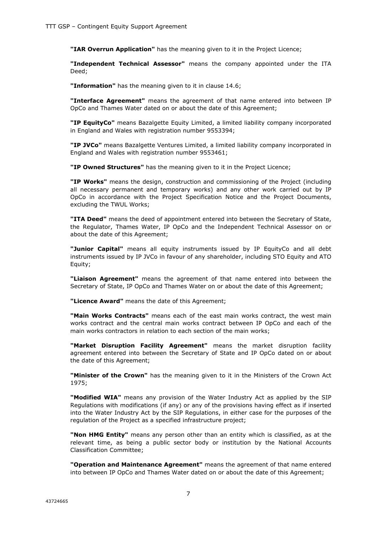**"IAR Overrun Application"** has the meaning given to it in the Project Licence;

**"Independent Technical Assessor"** means the company appointed under the ITA Deed;

**"Information"** has the meaning given to it in clause 14.6;

**"Interface Agreement"** means the agreement of that name entered into between IP OpCo and Thames Water dated on or about the date of this Agreement;

**"IP EquityCo"** means Bazalgette Equity Limited, a limited liability company incorporated in England and Wales with registration number 9553394;

**"IP JVCo"** means Bazalgette Ventures Limited, a limited liability company incorporated in England and Wales with registration number 9553461;

**"IP Owned Structures"** has the meaning given to it in the Project Licence;

**"IP Works"** means the design, construction and commissioning of the Project (including all necessary permanent and temporary works) and any other work carried out by IP OpCo in accordance with the Project Specification Notice and the Project Documents, excluding the TWUL Works;

**"ITA Deed"** means the deed of appointment entered into between the Secretary of State, the Regulator, Thames Water, IP OpCo and the Independent Technical Assessor on or about the date of this Agreement;

**"Junior Capital"** means all equity instruments issued by IP EquityCo and all debt instruments issued by IP JVCo in favour of any shareholder, including STO Equity and ATO Equity;

**"Liaison Agreement"** means the agreement of that name entered into between the Secretary of State, IP OpCo and Thames Water on or about the date of this Agreement;

**"Licence Award"** means the date of this Agreement;

**"Main Works Contracts"** means each of the east main works contract, the west main works contract and the central main works contract between IP OpCo and each of the main works contractors in relation to each section of the main works;

**"Market Disruption Facility Agreement"** means the market disruption facility agreement entered into between the Secretary of State and IP OpCo dated on or about the date of this Agreement;

**"Minister of the Crown"** has the meaning given to it in the Ministers of the Crown Act 1975;

**"Modified WIA"** means any provision of the Water Industry Act as applied by the SIP Regulations with modifications (if any) or any of the provisions having effect as if inserted into the Water Industry Act by the SIP Regulations, in either case for the purposes of the regulation of the Project as a specified infrastructure project;

**"Non HMG Entity"** means any person other than an entity which is classified, as at the relevant time, as being a public sector body or institution by the National Accounts Classification Committee;

**"Operation and Maintenance Agreement"** means the agreement of that name entered into between IP OpCo and Thames Water dated on or about the date of this Agreement;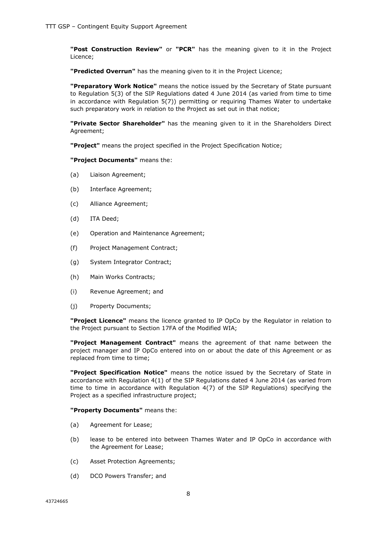**"Post Construction Review"** or **"PCR"** has the meaning given to it in the Project Licence;

**"Predicted Overrun"** has the meaning given to it in the Project Licence;

**"Preparatory Work Notice"** means the notice issued by the Secretary of State pursuant to Regulation 5(3) of the SIP Regulations dated 4 June 2014 (as varied from time to time in accordance with Regulation 5(7)) permitting or requiring Thames Water to undertake such preparatory work in relation to the Project as set out in that notice;

**"Private Sector Shareholder"** has the meaning given to it in the Shareholders Direct Agreement;

**"Project"** means the project specified in the Project Specification Notice;

**"Project Documents"** means the:

- (a) Liaison Agreement;
- (b) Interface Agreement;
- (c) Alliance Agreement;
- (d) ITA Deed;
- (e) Operation and Maintenance Agreement;
- (f) Project Management Contract;
- (g) System Integrator Contract;
- (h) Main Works Contracts;
- (i) Revenue Agreement; and
- (j) Property Documents;

**"Project Licence"** means the licence granted to IP OpCo by the Regulator in relation to the Project pursuant to Section 17FA of the Modified WIA;

**"Project Management Contract"** means the agreement of that name between the project manager and IP OpCo entered into on or about the date of this Agreement or as replaced from time to time;

**"Project Specification Notice"** means the notice issued by the Secretary of State in accordance with Regulation 4(1) of the SIP Regulations dated 4 June 2014 (as varied from time to time in accordance with Regulation 4(7) of the SIP Regulations) specifying the Project as a specified infrastructure project;

#### **"Property Documents"** means the:

- (a) Agreement for Lease;
- (b) lease to be entered into between Thames Water and IP OpCo in accordance with the Agreement for Lease;
- (c) Asset Protection Agreements;
- (d) DCO Powers Transfer; and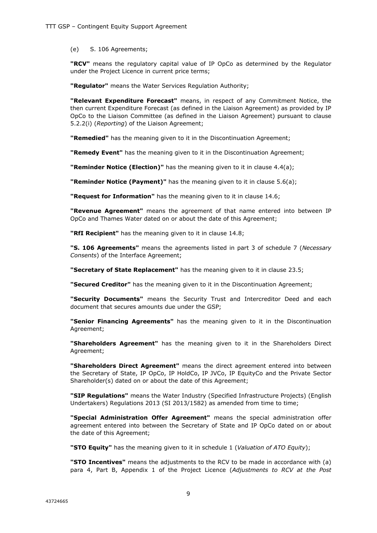(e) S. 106 Agreements;

**"RCV"** means the regulatory capital value of IP OpCo as determined by the Regulator under the Project Licence in current price terms;

**"Regulator"** means the Water Services Regulation Authority;

**"Relevant Expenditure Forecast"** means, in respect of any Commitment Notice, the then current Expenditure Forecast (as defined in the Liaison Agreement) as provided by IP OpCo to the Liaison Committee (as defined in the Liaison Agreement) pursuant to clause 5.2.2(i) (*Reporting*) of the Liaison Agreement;

**"Remedied"** has the meaning given to it in the Discontinuation Agreement;

**"Remedy Event"** has the meaning given to it in the Discontinuation Agreement;

**"Reminder Notice (Election)"** has the meaning given to it in clause 4.4(a);

**"Reminder Notice (Payment)"** has the meaning given to it in clause 5.6(a);

**"Request for Information"** has the meaning given to it in clause 14.6;

**"Revenue Agreement"** means the agreement of that name entered into between IP OpCo and Thames Water dated on or about the date of this Agreement;

**"RfI Recipient"** has the meaning given to it in clause 14.8;

**"S. 106 Agreements"** means the agreements listed in part 3 of schedule 7 (*Necessary Consents*) of the Interface Agreement;

**"Secretary of State Replacement"** has the meaning given to it in clause 23.5;

**"Secured Creditor"** has the meaning given to it in the Discontinuation Agreement;

**"Security Documents"** means the Security Trust and Intercreditor Deed and each document that secures amounts due under the GSP;

**"Senior Financing Agreements"** has the meaning given to it in the Discontinuation Agreement;

**"Shareholders Agreement"** has the meaning given to it in the Shareholders Direct Agreement;

**"Shareholders Direct Agreement"** means the direct agreement entered into between the Secretary of State, IP OpCo, IP HoldCo, IP JVCo, IP EquityCo and the Private Sector Shareholder(s) dated on or about the date of this Agreement;

**"SIP Regulations"** means the Water Industry (Specified Infrastructure Projects) (English Undertakers) Regulations 2013 (SI 2013/1582) as amended from time to time;

**"Special Administration Offer Agreement"** means the special administration offer agreement entered into between the Secretary of State and IP OpCo dated on or about the date of this Agreement;

**"STO Equity"** has the meaning given to it in schedule 1 (*Valuation of ATO Equity*);

**"STO Incentives"** means the adjustments to the RCV to be made in accordance with (a) para 4, Part B, Appendix 1 of the Project Licence (*Adjustments to RCV at the Post*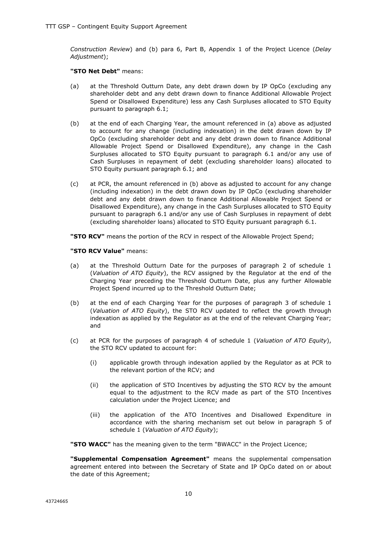*Construction Review*) and (b) para 6, Part B, Appendix 1 of the Project Licence (*Delay Adjustment*);

#### **"STO Net Debt"** means:

- (a) at the Threshold Outturn Date, any debt drawn down by IP OpCo (excluding any shareholder debt and any debt drawn down to finance Additional Allowable Project Spend or Disallowed Expenditure) less any Cash Surpluses allocated to STO Equity pursuant to paragraph 6.1;
- (b) at the end of each Charging Year, the amount referenced in (a) above as adjusted to account for any change (including indexation) in the debt drawn down by IP OpCo (excluding shareholder debt and any debt drawn down to finance Additional Allowable Project Spend or Disallowed Expenditure), any change in the Cash Surpluses allocated to STO Equity pursuant to paragraph 6.1 and/or any use of Cash Surpluses in repayment of debt (excluding shareholder loans) allocated to STO Equity pursuant paragraph 6.1; and
- (c) at PCR, the amount referenced in (b) above as adjusted to account for any change (including indexation) in the debt drawn down by IP OpCo (excluding shareholder debt and any debt drawn down to finance Additional Allowable Project Spend or Disallowed Expenditure), any change in the Cash Surpluses allocated to STO Equity pursuant to paragraph 6.1 and/or any use of Cash Surpluses in repayment of debt (excluding shareholder loans) allocated to STO Equity pursuant paragraph 6.1.

**"STO RCV"** means the portion of the RCV in respect of the Allowable Project Spend;

#### **"STO RCV Value"** means:

- (a) at the Threshold Outturn Date for the purposes of paragraph 2 of schedule 1 (*Valuation of ATO Equity*), the RCV assigned by the Regulator at the end of the Charging Year preceding the Threshold Outturn Date, plus any further Allowable Project Spend incurred up to the Threshold Outturn Date;
- (b) at the end of each Charging Year for the purposes of paragraph 3 of schedule 1 (*Valuation of ATO Equity*), the STO RCV updated to reflect the growth through indexation as applied by the Regulator as at the end of the relevant Charging Year; and
- (c) at PCR for the purposes of paragraph 4 of schedule 1 (*Valuation of ATO Equity*), the STO RCV updated to account for:
	- (i) applicable growth through indexation applied by the Regulator as at PCR to the relevant portion of the RCV; and
	- (ii) the application of STO Incentives by adjusting the STO RCV by the amount equal to the adjustment to the RCV made as part of the STO Incentives calculation under the Project Licence; and
	- (iii) the application of the ATO Incentives and Disallowed Expenditure in accordance with the sharing mechanism set out below in paragraph 5 of schedule 1 (*Valuation of ATO Equity*);

**"STO WACC"** has the meaning given to the term "BWACC" in the Project Licence;

**"Supplemental Compensation Agreement"** means the supplemental compensation agreement entered into between the Secretary of State and IP OpCo dated on or about the date of this Agreement;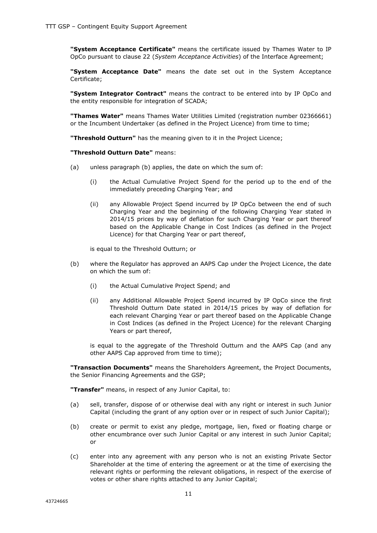**"System Acceptance Certificate"** means the certificate issued by Thames Water to IP OpCo pursuant to clause 22 (*System Acceptance Activities*) of the Interface Agreement;

**"System Acceptance Date"** means the date set out in the System Acceptance Certificate;

**"System Integrator Contract"** means the contract to be entered into by IP OpCo and the entity responsible for integration of SCADA;

**"Thames Water"** means Thames Water Utilities Limited (registration number 02366661) or the Incumbent Undertaker (as defined in the Project Licence) from time to time;

**"Threshold Outturn"** has the meaning given to it in the Project Licence;

**"Threshold Outturn Date"** means:

- (a) unless paragraph (b) applies, the date on which the sum of:
	- (i) the Actual Cumulative Project Spend for the period up to the end of the immediately preceding Charging Year; and
	- (ii) any Allowable Project Spend incurred by IP OpCo between the end of such Charging Year and the beginning of the following Charging Year stated in 2014/15 prices by way of deflation for such Charging Year or part thereof based on the Applicable Change in Cost Indices (as defined in the Project Licence) for that Charging Year or part thereof,

is equal to the Threshold Outturn; or

- (b) where the Regulator has approved an AAPS Cap under the Project Licence, the date on which the sum of:
	- (i) the Actual Cumulative Project Spend; and
	- (ii) any Additional Allowable Project Spend incurred by IP OpCo since the first Threshold Outturn Date stated in 2014/15 prices by way of deflation for each relevant Charging Year or part thereof based on the Applicable Change in Cost Indices (as defined in the Project Licence) for the relevant Charging Years or part thereof,

is equal to the aggregate of the Threshold Outturn and the AAPS Cap (and any other AAPS Cap approved from time to time);

**"Transaction Documents"** means the Shareholders Agreement, the Project Documents, the Senior Financing Agreements and the GSP;

**"Transfer"** means, in respect of any Junior Capital, to:

- (a) sell, transfer, dispose of or otherwise deal with any right or interest in such Junior Capital (including the grant of any option over or in respect of such Junior Capital);
- (b) create or permit to exist any pledge, mortgage, lien, fixed or floating charge or other encumbrance over such Junior Capital or any interest in such Junior Capital; or
- (c) enter into any agreement with any person who is not an existing Private Sector Shareholder at the time of entering the agreement or at the time of exercising the relevant rights or performing the relevant obligations, in respect of the exercise of votes or other share rights attached to any Junior Capital;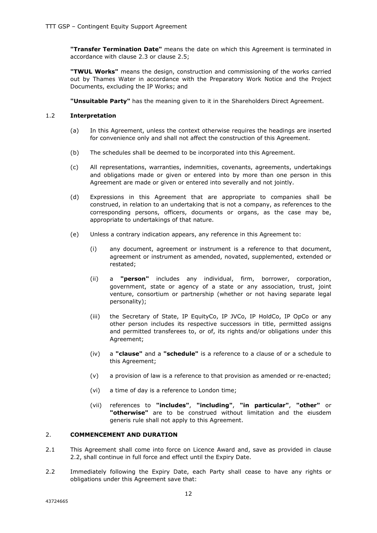**"Transfer Termination Date"** means the date on which this Agreement is terminated in accordance with clause 2.3 or clause 2.5;

**"TWUL Works"** means the design, construction and commissioning of the works carried out by Thames Water in accordance with the Preparatory Work Notice and the Project Documents, excluding the IP Works; and

**"Unsuitable Party"** has the meaning given to it in the Shareholders Direct Agreement.

## 1.2 **Interpretation**

- (a) In this Agreement, unless the context otherwise requires the headings are inserted for convenience only and shall not affect the construction of this Agreement.
- (b) The schedules shall be deemed to be incorporated into this Agreement.
- (c) All representations, warranties, indemnities, covenants, agreements, undertakings and obligations made or given or entered into by more than one person in this Agreement are made or given or entered into severally and not jointly.
- (d) Expressions in this Agreement that are appropriate to companies shall be construed, in relation to an undertaking that is not a company, as references to the corresponding persons, officers, documents or organs, as the case may be, appropriate to undertakings of that nature.
- (e) Unless a contrary indication appears, any reference in this Agreement to:
	- (i) any document, agreement or instrument is a reference to that document, agreement or instrument as amended, novated, supplemented, extended or restated;
	- (ii) a **"person"** includes any individual, firm, borrower, corporation, government, state or agency of a state or any association, trust, joint venture, consortium or partnership (whether or not having separate legal personality);
	- (iii) the Secretary of State, IP EquityCo, IP JVCo, IP HoldCo, IP OpCo or any other person includes its respective successors in title, permitted assigns and permitted transferees to, or of, its rights and/or obligations under this Agreement;
	- (iv) a **"clause"** and a **"schedule"** is a reference to a clause of or a schedule to this Agreement;
	- (v) a provision of law is a reference to that provision as amended or re-enacted;
	- (vi) a time of day is a reference to London time;
	- (vii) references to **"includes"**, **"including"**, **"in particular"**, **"other"** or **"otherwise"** are to be construed without limitation and the eiusdem generis rule shall not apply to this Agreement.

# 2. **COMMENCEMENT AND DURATION**

- 2.1 This Agreement shall come into force on Licence Award and, save as provided in clause 2.2, shall continue in full force and effect until the Expiry Date.
- 2.2 Immediately following the Expiry Date, each Party shall cease to have any rights or obligations under this Agreement save that: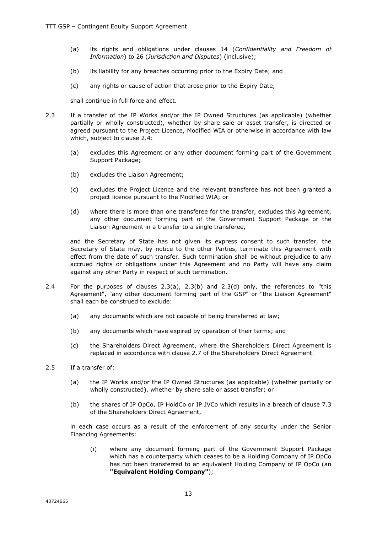- (a) its rights and obligations under clauses 14 (*Confidentiality and Freedom of Information*) to 26 (*Jurisdiction and Disputes*) (inclusive);
- (b) its liability for any breaches occurring prior to the Expiry Date; and
- (c) any rights or cause of action that arose prior to the Expiry Date,

shall continue in full force and effect.

- 2.3 If a transfer of the IP Works and/or the IP Owned Structures (as applicable) (whether partially or wholly constructed), whether by share sale or asset transfer, is directed or agreed pursuant to the Project Licence, Modified WIA or otherwise in accordance with law which, subject to clause 2.4:
	- (a) excludes this Agreement or any other document forming part of the Government Support Package;
	- (b) excludes the Liaison Agreement;
	- (c) excludes the Project Licence and the relevant transferee has not been granted a project licence pursuant to the Modified WIA; or
	- (d) where there is more than one transferee for the transfer, excludes this Agreement, any other document forming part of the Government Support Package or the Liaison Agreement in a transfer to a single transferee,

and the Secretary of State has not given its express consent to such transfer, the Secretary of State may, by notice to the other Parties, terminate this Agreement with effect from the date of such transfer. Such termination shall be without prejudice to any accrued rights or obligations under this Agreement and no Party will have any claim against any other Party in respect of such termination.

- 2.4 For the purposes of clauses 2.3(a), 2.3(b) and 2.3(d) only, the references to "this Agreement", "any other document forming part of the GSP" or "the Liaison Agreement" shall each be construed to exclude:
	- (a) any documents which are not capable of being transferred at law;
	- (b) any documents which have expired by operation of their terms; and
	- (c) the Shareholders Direct Agreement, where the Shareholders Direct Agreement is replaced in accordance with clause 2.7 of the Shareholders Direct Agreement.
- 2.5 If a transfer of:
	- (a) the IP Works and/or the IP Owned Structures (as applicable) (whether partially or wholly constructed), whether by share sale or asset transfer; or
	- (b) the shares of IP OpCo, IP HoldCo or IP JVCo which results in a breach of clause 7.3 of the Shareholders Direct Agreement,

in each case occurs as a result of the enforcement of any security under the Senior Financing Agreements:

(i) where any document forming part of the Government Support Package which has a counterparty which ceases to be a Holding Company of IP OpCo has not been transferred to an equivalent Holding Company of IP OpCo (an **"Equivalent Holding Company"**);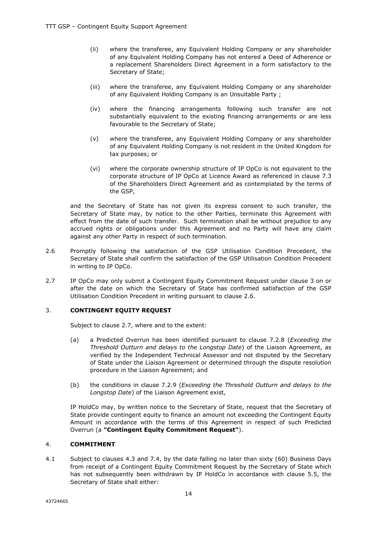- (ii) where the transferee, any Equivalent Holding Company or any shareholder of any Equivalent Holding Company has not entered a Deed of Adherence or a replacement Shareholders Direct Agreement in a form satisfactory to the Secretary of State;
- (iii) where the transferee, any Equivalent Holding Company or any shareholder of any Equivalent Holding Company is an Unsuitable Party ;
- (iv) where the financing arrangements following such transfer are not substantially equivalent to the existing financing arrangements or are less favourable to the Secretary of State;
- (v) where the transferee, any Equivalent Holding Company or any shareholder of any Equivalent Holding Company is not resident in the United Kingdom for tax purposes; or
- (vi) where the corporate ownership structure of IP OpCo is not equivalent to the corporate structure of IP OpCo at Licence Award as referenced in clause 7.3 of the Shareholders Direct Agreement and as contemplated by the terms of the GSP,

and the Secretary of State has not given its express consent to such transfer, the Secretary of State may, by notice to the other Parties, terminate this Agreement with effect from the date of such transfer. Such termination shall be without prejudice to any accrued rights or obligations under this Agreement and no Party will have any claim against any other Party in respect of such termination.

- 2.6 Promptly following the satisfaction of the GSP Utilisation Condition Precedent, the Secretary of State shall confirm the satisfaction of the GSP Utilisation Condition Precedent in writing to IP OpCo.
- 2.7 IP OpCo may only submit a Contingent Equity Commitment Request under clause 3 on or after the date on which the Secretary of State has confirmed satisfaction of the GSP Utilisation Condition Precedent in writing pursuant to clause 2.6.

#### 3. **CONTINGENT EQUITY REQUEST**

Subject to clause 2.7, where and to the extent:

- (a) a Predicted Overrun has been identified pursuant to clause 7.2.8 (*Exceeding the Threshold Outturn and delays to the Longstop Date*) of the Liaison Agreement, as verified by the Independent Technical Assessor and not disputed by the Secretary of State under the Liaison Agreement or determined through the dispute resolution procedure in the Liaison Agreement; and
- (b) the conditions in clause 7.2.9 (*Exceeding the Threshold Outturn and delays to the Longstop Date*) of the Liaison Agreement exist,

IP HoldCo may, by written notice to the Secretary of State, request that the Secretary of State provide contingent equity to finance an amount not exceeding the Contingent Equity Amount in accordance with the terms of this Agreement in respect of such Predicted Overrun (a **"Contingent Equity Commitment Request"**).

#### 4. **COMMITMENT**

4.1 Subject to clauses 4.3 and 7.4, by the date falling no later than sixty (60) Business Days from receipt of a Contingent Equity Commitment Request by the Secretary of State which has not subsequently been withdrawn by IP HoldCo in accordance with clause 5.5, the Secretary of State shall either: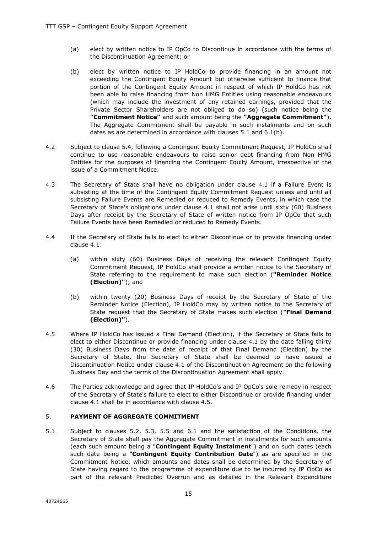- (a) elect by written notice to IP OpCo to Discontinue in accordance with the terms of the Discontinuation Agreement; or
- (b) elect by written notice to IP HoldCo to provide financing in an amount not exceeding the Contingent Equity Amount but otherwise sufficient to finance that portion of the Contingent Equity Amount in respect of which IP HoldCo has not been able to raise financing from Non HMG Entities using reasonable endeavours (which may include the investment of any retained earnings, provided that the Private Sector Shareholders are not obliged to do so) (such notice being the **"Commitment Notice"** and such amount being the **"Aggregate Commitment"**). The Aggregate Commitment shall be payable in such instalments and on such dates as are determined in accordance with clauses 5.1 and 6.1(b).
- 4.2 Subject to clause 5.4, following a Contingent Equity Commitment Request, IP HoldCo shall continue to use reasonable endeavours to raise senior debt financing from Non HMG Entities for the purposes of financing the Contingent Equity Amount, irrespective of the issue of a Commitment Notice.
- 4.3 The Secretary of State shall have no obligation under clause 4.1 if a Failure Event is subsisting at the time of the Contingent Equity Commitment Request unless and until all subsisting Failure Events are Remedied or reduced to Remedy Events, in which case the Secretary of State's obligations under clause 4.1 shall not arise until sixty (60) Business Days after receipt by the Secretary of State of written notice from IP OpCo that such Failure Events have been Remedied or reduced to Remedy Events.
- 4.4 If the Secretary of State fails to elect to either Discontinue or to provide financing under clause 4.1:
	- (a) within sixty (60) Business Days of receiving the relevant Contingent Equity Commitment Request, IP HoldCo shall provide a written notice to the Secretary of State referring to the requirement to make such election (**"Reminder Notice (Election)"**); and
	- (b) within twenty (20) Business Days of receipt by the Secretary of State of the Reminder Notice (Election), IP HoldCo may by written notice to the Secretary of State request that the Secretary of State makes such election (**"Final Demand (Election)"**).
- 4.5 Where IP HoldCo has issued a Final Demand (Election), if the Secretary of State fails to elect to either Discontinue or provide financing under clause 4.1 by the date falling thirty (30) Business Days from the date of receipt of that Final Demand (Election) by the Secretary of State, the Secretary of State shall be deemed to have issued a Discontinuation Notice under clause 4.1 of the Discontinuation Agreement on the following Business Day and the terms of the Discontinuation Agreement shall apply.
- 4.6 The Parties acknowledge and agree that IP HoldCo's and IP OpCo's sole remedy in respect of the Secretary of State's failure to elect to either Discontinue or provide financing under clause 4.1 shall be in accordance with clause 4.5.

#### 5. **PAYMENT OF AGGREGATE COMMITMENT**

5.1 Subject to clauses 5.2, 5.3, 5.5 and 6.1 and the satisfaction of the Conditions, the Secretary of State shall pay the Aggregate Commitment in instalments for such amounts (each such amount being a "**Contingent Equity Instalment**") and on such dates (each such date being a "**Contingent Equity Contribution Date**") as are specified in the Commitment Notice, which amounts and dates shall be determined by the Secretary of State having regard to the programme of expenditure due to be incurred by IP OpCo as part of the relevant Predicted Overrun and as detailed in the Relevant Expenditure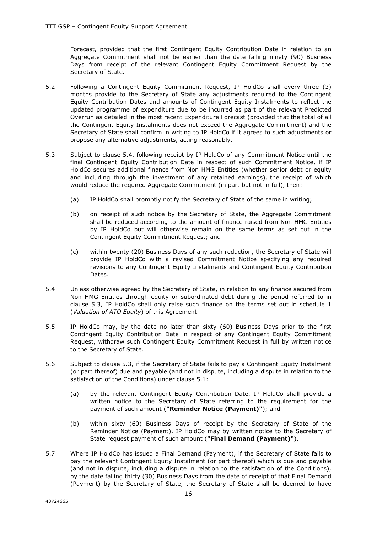Forecast, provided that the first Contingent Equity Contribution Date in relation to an Aggregate Commitment shall not be earlier than the date falling ninety (90) Business Days from receipt of the relevant Contingent Equity Commitment Request by the Secretary of State.

- 5.2 Following a Contingent Equity Commitment Request, IP HoldCo shall every three (3) months provide to the Secretary of State any adjustments required to the Contingent Equity Contribution Dates and amounts of Contingent Equity Instalments to reflect the updated programme of expenditure due to be incurred as part of the relevant Predicted Overrun as detailed in the most recent Expenditure Forecast (provided that the total of all the Contingent Equity Instalments does not exceed the Aggregate Commitment) and the Secretary of State shall confirm in writing to IP HoldCo if it agrees to such adjustments or propose any alternative adjustments, acting reasonably.
- 5.3 Subject to clause 5.4, following receipt by IP HoldCo of any Commitment Notice until the final Contingent Equity Contribution Date in respect of such Commitment Notice, if IP HoldCo secures additional finance from Non HMG Entities (whether senior debt or equity and including through the investment of any retained earnings), the receipt of which would reduce the required Aggregate Commitment (in part but not in full), then:
	- (a) IP HoldCo shall promptly notify the Secretary of State of the same in writing;
	- (b) on receipt of such notice by the Secretary of State, the Aggregate Commitment shall be reduced according to the amount of finance raised from Non HMG Entities by IP HoldCo but will otherwise remain on the same terms as set out in the Contingent Equity Commitment Request; and
	- (c) within twenty (20) Business Days of any such reduction, the Secretary of State will provide IP HoldCo with a revised Commitment Notice specifying any required revisions to any Contingent Equity Instalments and Contingent Equity Contribution Dates.
- 5.4 Unless otherwise agreed by the Secretary of State, in relation to any finance secured from Non HMG Entities through equity or subordinated debt during the period referred to in clause 5.3, IP HoldCo shall only raise such finance on the terms set out in schedule 1 (*Valuation of ATO Equity*) of this Agreement.
- 5.5 IP HoldCo may, by the date no later than sixty (60) Business Days prior to the first Contingent Equity Contribution Date in respect of any Contingent Equity Commitment Request, withdraw such Contingent Equity Commitment Request in full by written notice to the Secretary of State.
- 5.6 Subject to clause 5.3, if the Secretary of State fails to pay a Contingent Equity Instalment (or part thereof) due and payable (and not in dispute, including a dispute in relation to the satisfaction of the Conditions) under clause 5.1:
	- (a) by the relevant Contingent Equity Contribution Date, IP HoldCo shall provide a written notice to the Secretary of State referring to the requirement for the payment of such amount (**"Reminder Notice (Payment)"**); and
	- (b) within sixty (60) Business Days of receipt by the Secretary of State of the Reminder Notice (Payment), IP HoldCo may by written notice to the Secretary of State request payment of such amount (**"Final Demand (Payment)"**).
- 5.7 Where IP HoldCo has issued a Final Demand (Payment), if the Secretary of State fails to pay the relevant Contingent Equity Instalment (or part thereof) which is due and payable (and not in dispute, including a dispute in relation to the satisfaction of the Conditions), by the date falling thirty (30) Business Days from the date of receipt of that Final Demand (Payment) by the Secretary of State, the Secretary of State shall be deemed to have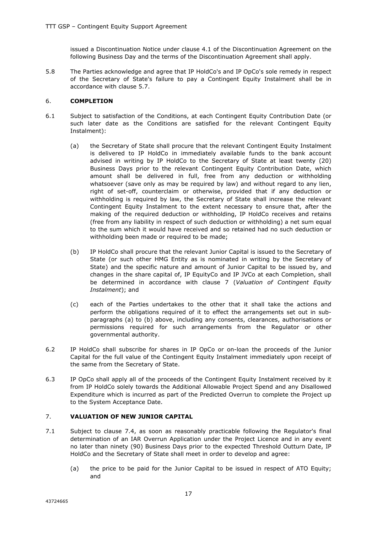issued a Discontinuation Notice under clause 4.1 of the Discontinuation Agreement on the following Business Day and the terms of the Discontinuation Agreement shall apply.

5.8 The Parties acknowledge and agree that IP HoldCo's and IP OpCo's sole remedy in respect of the Secretary of State's failure to pay a Contingent Equity Instalment shall be in accordance with clause 5.7.

#### 6. **COMPLETION**

- 6.1 Subject to satisfaction of the Conditions, at each Contingent Equity Contribution Date (or such later date as the Conditions are satisfied for the relevant Contingent Equity Instalment):
	- (a) the Secretary of State shall procure that the relevant Contingent Equity Instalment is delivered to IP HoldCo in immediately available funds to the bank account advised in writing by IP HoldCo to the Secretary of State at least twenty (20) Business Days prior to the relevant Contingent Equity Contribution Date, which amount shall be delivered in full, free from any deduction or withholding whatsoever (save only as may be required by law) and without regard to any lien, right of set-off, counterclaim or otherwise, provided that if any deduction or withholding is required by law, the Secretary of State shall increase the relevant Contingent Equity Instalment to the extent necessary to ensure that, after the making of the required deduction or withholding, IP HoldCo receives and retains (free from any liability in respect of such deduction or withholding) a net sum equal to the sum which it would have received and so retained had no such deduction or withholding been made or required to be made;
	- (b) IP HoldCo shall procure that the relevant Junior Capital is issued to the Secretary of State (or such other HMG Entity as is nominated in writing by the Secretary of State) and the specific nature and amount of Junior Capital to be issued by, and changes in the share capital of, IP EquityCo and IP JVCo at each Completion, shall be determined in accordance with clause 7 (*Valuation of Contingent Equity Instalment*); and
	- (c) each of the Parties undertakes to the other that it shall take the actions and perform the obligations required of it to effect the arrangements set out in subparagraphs (a) to (b) above, including any consents, clearances, authorisations or permissions required for such arrangements from the Regulator or other governmental authority.
- 6.2 IP HoldCo shall subscribe for shares in IP OpCo or on-loan the proceeds of the Junior Capital for the full value of the Contingent Equity Instalment immediately upon receipt of the same from the Secretary of State.
- 6.3 IP OpCo shall apply all of the proceeds of the Contingent Equity Instalment received by it from IP HoldCo solely towards the Additional Allowable Project Spend and any Disallowed Expenditure which is incurred as part of the Predicted Overrun to complete the Project up to the System Acceptance Date.

#### 7. **VALUATION OF NEW JUNIOR CAPITAL**

- 7.1 Subject to clause 7.4, as soon as reasonably practicable following the Regulator's final determination of an IAR Overrun Application under the Project Licence and in any event no later than ninety (90) Business Days prior to the expected Threshold Outturn Date, IP HoldCo and the Secretary of State shall meet in order to develop and agree:
	- (a) the price to be paid for the Junior Capital to be issued in respect of ATO Equity; and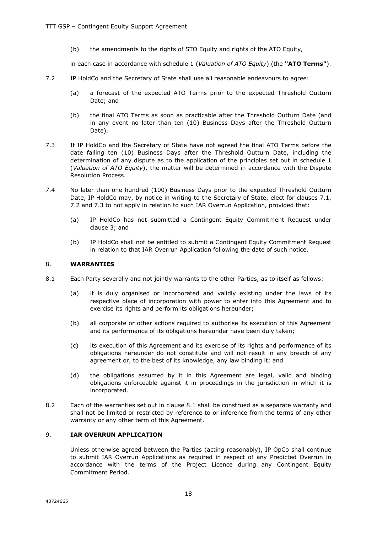(b) the amendments to the rights of STO Equity and rights of the ATO Equity,

in each case in accordance with schedule 1 (*Valuation of ATO Equity*) (the **"ATO Terms"**).

- 7.2 IP HoldCo and the Secretary of State shall use all reasonable endeavours to agree:
	- (a) a forecast of the expected ATO Terms prior to the expected Threshold Outturn Date; and
	- (b) the final ATO Terms as soon as practicable after the Threshold Outturn Date (and in any event no later than ten (10) Business Days after the Threshold Outturn Date).
- 7.3 If IP HoldCo and the Secretary of State have not agreed the final ATO Terms before the date falling ten (10) Business Days after the Threshold Outturn Date, including the determination of any dispute as to the application of the principles set out in schedule 1 (*Valuation of ATO Equity*), the matter will be determined in accordance with the Dispute Resolution Process.
- 7.4 No later than one hundred (100) Business Days prior to the expected Threshold Outturn Date, IP HoldCo may, by notice in writing to the Secretary of State, elect for clauses 7.1. 7.2 and 7.3 to not apply in relation to such IAR Overrun Application, provided that:
	- (a) IP HoldCo has not submitted a Contingent Equity Commitment Request under clause 3; and
	- (b) IP HoldCo shall not be entitled to submit a Contingent Equity Commitment Request in relation to that IAR Overrun Application following the date of such notice.

#### 8. **WARRANTIES**

- 8.1 Each Party severally and not jointly warrants to the other Parties, as to itself as follows:
	- (a) it is duly organised or incorporated and validly existing under the laws of its respective place of incorporation with power to enter into this Agreement and to exercise its rights and perform its obligations hereunder;
	- (b) all corporate or other actions required to authorise its execution of this Agreement and its performance of its obligations hereunder have been duly taken;
	- (c) its execution of this Agreement and its exercise of its rights and performance of its obligations hereunder do not constitute and will not result in any breach of any agreement or, to the best of its knowledge, any law binding it; and
	- (d) the obligations assumed by it in this Agreement are legal, valid and binding obligations enforceable against it in proceedings in the jurisdiction in which it is incorporated.
- 8.2 Each of the warranties set out in clause 8.1 shall be construed as a separate warranty and shall not be limited or restricted by reference to or inference from the terms of any other warranty or any other term of this Agreement.

# 9. **IAR OVERRUN APPLICATION**

Unless otherwise agreed between the Parties (acting reasonably), IP OpCo shall continue to submit IAR Overrun Applications as required in respect of any Predicted Overrun in accordance with the terms of the Project Licence during any Contingent Equity Commitment Period.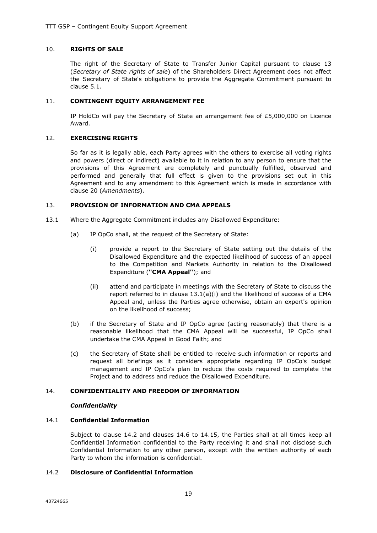#### 10. **RIGHTS OF SALE**

The right of the Secretary of State to Transfer Junior Capital pursuant to clause 13 (*Secretary of State rights of sale*) of the Shareholders Direct Agreement does not affect the Secretary of State's obligations to provide the Aggregate Commitment pursuant to clause 5.1.

#### 11. **CONTINGENT EQUITY ARRANGEMENT FEE**

IP HoldCo will pay the Secretary of State an arrangement fee of  $£5,000,000$  on Licence Award.

#### 12. **EXERCISING RIGHTS**

So far as it is legally able, each Party agrees with the others to exercise all voting rights and powers (direct or indirect) available to it in relation to any person to ensure that the provisions of this Agreement are completely and punctually fulfilled, observed and performed and generally that full effect is given to the provisions set out in this Agreement and to any amendment to this Agreement which is made in accordance with clause 20 (*Amendments*).

#### 13. **PROVISION OF INFORMATION AND CMA APPEALS**

- 13.1 Where the Aggregate Commitment includes any Disallowed Expenditure:
	- (a) IP OpCo shall, at the request of the Secretary of State:
		- (i) provide a report to the Secretary of State setting out the details of the Disallowed Expenditure and the expected likelihood of success of an appeal to the Competition and Markets Authority in relation to the Disallowed Expenditure (**"CMA Appeal"**); and
		- (ii) attend and participate in meetings with the Secretary of State to discuss the report referred to in clause 13.1(a)(i) and the likelihood of success of a CMA Appeal and, unless the Parties agree otherwise, obtain an expert's opinion on the likelihood of success;
	- (b) if the Secretary of State and IP OpCo agree (acting reasonably) that there is a reasonable likelihood that the CMA Appeal will be successful, IP OpCo shall undertake the CMA Appeal in Good Faith; and
	- (c) the Secretary of State shall be entitled to receive such information or reports and request all briefings as it considers appropriate regarding IP OpCo's budget management and IP OpCo's plan to reduce the costs required to complete the Project and to address and reduce the Disallowed Expenditure.

# 14. **CONFIDENTIALITY AND FREEDOM OF INFORMATION**

#### *Confidentiality*

#### 14.1 **Confidential Information**

Subject to clause 14.2 and clauses 14.6 to 14.15, the Parties shall at all times keep all Confidential Information confidential to the Party receiving it and shall not disclose such Confidential Information to any other person, except with the written authority of each Party to whom the information is confidential.

#### 14.2 **Disclosure of Confidential Information**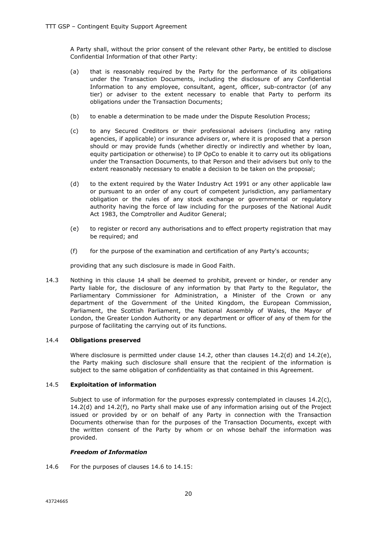A Party shall, without the prior consent of the relevant other Party, be entitled to disclose Confidential Information of that other Party:

- (a) that is reasonably required by the Party for the performance of its obligations under the Transaction Documents, including the disclosure of any Confidential Information to any employee, consultant, agent, officer, sub-contractor (of any tier) or adviser to the extent necessary to enable that Party to perform its obligations under the Transaction Documents;
- (b) to enable a determination to be made under the Dispute Resolution Process;
- (c) to any Secured Creditors or their professional advisers (including any rating agencies, if applicable) or insurance advisers or, where it is proposed that a person should or may provide funds (whether directly or indirectly and whether by loan, equity participation or otherwise) to IP OpCo to enable it to carry out its obligations under the Transaction Documents, to that Person and their advisers but only to the extent reasonably necessary to enable a decision to be taken on the proposal;
- (d) to the extent required by the Water Industry Act 1991 or any other applicable law or pursuant to an order of any court of competent jurisdiction, any parliamentary obligation or the rules of any stock exchange or governmental or regulatory authority having the force of law including for the purposes of the National Audit Act 1983, the Comptroller and Auditor General;
- (e) to register or record any authorisations and to effect property registration that may be required; and
- (f) for the purpose of the examination and certification of any Party's accounts;

providing that any such disclosure is made in Good Faith.

14.3 Nothing in this clause 14 shall be deemed to prohibit, prevent or hinder, or render any Party liable for, the disclosure of any information by that Party to the Regulator, the Parliamentary Commissioner for Administration, a Minister of the Crown or any department of the Government of the United Kingdom, the European Commission, Parliament, the Scottish Parliament, the National Assembly of Wales, the Mayor of London, the Greater London Authority or any department or officer of any of them for the purpose of facilitating the carrying out of its functions.

#### 14.4 **Obligations preserved**

Where disclosure is permitted under clause 14.2, other than clauses  $14.2(d)$  and  $14.2(e)$ , the Party making such disclosure shall ensure that the recipient of the information is subject to the same obligation of confidentiality as that contained in this Agreement.

# 14.5 **Exploitation of information**

Subject to use of information for the purposes expressly contemplated in clauses  $14.2(c)$ , 14.2(d) and 14.2(f), no Party shall make use of any information arising out of the Project issued or provided by or on behalf of any Party in connection with the Transaction Documents otherwise than for the purposes of the Transaction Documents, except with the written consent of the Party by whom or on whose behalf the information was provided.

# *Freedom of Information*

14.6 For the purposes of clauses 14.6 to 14.15: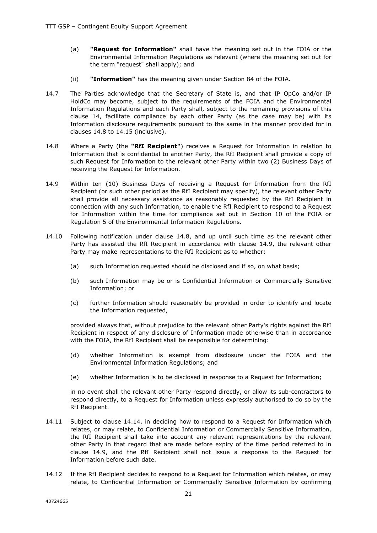- (a) **"Request for Information"** shall have the meaning set out in the FOIA or the Environmental Information Regulations as relevant (where the meaning set out for the term "request" shall apply); and
- (ii) **"Information"** has the meaning given under Section 84 of the FOIA.
- 14.7 The Parties acknowledge that the Secretary of State is, and that IP OpCo and/or IP HoldCo may become, subject to the requirements of the FOIA and the Environmental Information Regulations and each Party shall, subject to the remaining provisions of this clause 14, facilitate compliance by each other Party (as the case may be) with its Information disclosure requirements pursuant to the same in the manner provided for in clauses 14.8 to 14.15 (inclusive).
- 14.8 Where a Party (the **"RfI Recipient"**) receives a Request for Information in relation to Information that is confidential to another Party, the RfI Recipient shall provide a copy of such Request for Information to the relevant other Party within two (2) Business Days of receiving the Request for Information.
- 14.9 Within ten (10) Business Days of receiving a Request for Information from the RfI Recipient (or such other period as the RfI Recipient may specify), the relevant other Party shall provide all necessary assistance as reasonably requested by the RfI Recipient in connection with any such Information, to enable the RfI Recipient to respond to a Request for Information within the time for compliance set out in Section 10 of the FOIA or Regulation 5 of the Environmental Information Regulations.
- 14.10 Following notification under clause 14.8, and up until such time as the relevant other Party has assisted the RfI Recipient in accordance with clause 14.9, the relevant other Party may make representations to the RfI Recipient as to whether:
	- (a) such Information requested should be disclosed and if so, on what basis;
	- (b) such Information may be or is Confidential Information or Commercially Sensitive Information; or
	- (c) further Information should reasonably be provided in order to identify and locate the Information requested,

provided always that, without prejudice to the relevant other Party's rights against the RfI Recipient in respect of any disclosure of Information made otherwise than in accordance with the FOIA, the RfI Recipient shall be responsible for determining:

- (d) whether Information is exempt from disclosure under the FOIA and the Environmental Information Regulations; and
- (e) whether Information is to be disclosed in response to a Request for Information;

in no event shall the relevant other Party respond directly, or allow its sub-contractors to respond directly, to a Request for Information unless expressly authorised to do so by the RfI Recipient.

- 14.11 Subject to clause 14.14, in deciding how to respond to a Request for Information which relates, or may relate, to Confidential Information or Commercially Sensitive Information, the RfI Recipient shall take into account any relevant representations by the relevant other Party in that regard that are made before expiry of the time period referred to in clause 14.9, and the RfI Recipient shall not issue a response to the Request for Information before such date.
- 14.12 If the RfI Recipient decides to respond to a Request for Information which relates, or may relate, to Confidential Information or Commercially Sensitive Information by confirming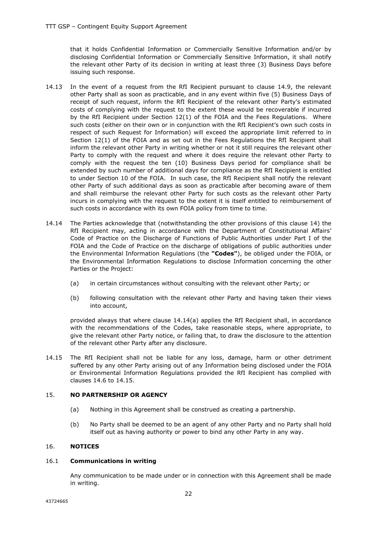that it holds Confidential Information or Commercially Sensitive Information and/or by disclosing Confidential Information or Commercially Sensitive Information, it shall notify the relevant other Party of its decision in writing at least three (3) Business Days before issuing such response.

- 14.13 In the event of a request from the RfI Recipient pursuant to clause 14.9, the relevant other Party shall as soon as practicable, and in any event within five (5) Business Days of receipt of such request, inform the RfI Recipient of the relevant other Party's estimated costs of complying with the request to the extent these would be recoverable if incurred by the RfI Recipient under Section 12(1) of the FOIA and the Fees Regulations. Where such costs (either on their own or in conjunction with the RfI Recipient's own such costs in respect of such Request for Information) will exceed the appropriate limit referred to in Section 12(1) of the FOIA and as set out in the Fees Regulations the RfI Recipient shall inform the relevant other Party in writing whether or not it still requires the relevant other Party to comply with the request and where it does require the relevant other Party to comply with the request the ten (10) Business Days period for compliance shall be extended by such number of additional days for compliance as the RfI Recipient is entitled to under Section 10 of the FOIA. In such case, the RfI Recipient shall notify the relevant other Party of such additional days as soon as practicable after becoming aware of them and shall reimburse the relevant other Party for such costs as the relevant other Party incurs in complying with the request to the extent it is itself entitled to reimbursement of such costs in accordance with its own FOIA policy from time to time.
- 14.14 The Parties acknowledge that (notwithstanding the other provisions of this clause 14) the RfI Recipient may, acting in accordance with the Department of Constitutional Affairs' Code of Practice on the Discharge of Functions of Public Authorities under Part I of the FOIA and the Code of Practice on the discharge of obligations of public authorities under the Environmental Information Regulations (the **"Codes"**), be obliged under the FOIA, or the Environmental Information Regulations to disclose Information concerning the other Parties or the Project:
	- (a) in certain circumstances without consulting with the relevant other Party; or
	- (b) following consultation with the relevant other Party and having taken their views into account,

provided always that where clause 14.14(a) applies the RfI Recipient shall, in accordance with the recommendations of the Codes, take reasonable steps, where appropriate, to give the relevant other Party notice, or failing that, to draw the disclosure to the attention of the relevant other Party after any disclosure.

14.15 The RfI Recipient shall not be liable for any loss, damage, harm or other detriment suffered by any other Party arising out of any Information being disclosed under the FOIA or Environmental Information Regulations provided the RfI Recipient has complied with clauses 14.6 to 14.15.

#### 15. **NO PARTNERSHIP OR AGENCY**

- (a) Nothing in this Agreement shall be construed as creating a partnership.
- (b) No Party shall be deemed to be an agent of any other Party and no Party shall hold itself out as having authority or power to bind any other Party in any way.

#### 16. **NOTICES**

#### 16.1 **Communications in writing**

Any communication to be made under or in connection with this Agreement shall be made in writing.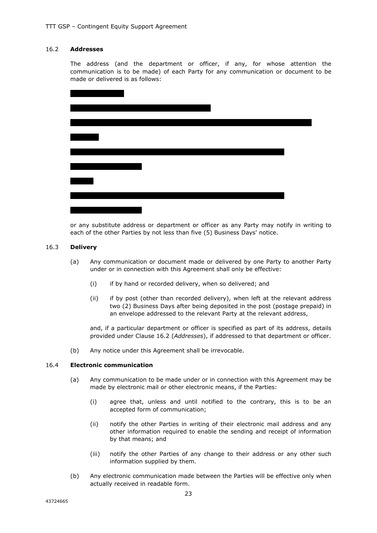# 16.2 **Addresses**

The address (and the department or officer, if any, for whose attention the communication is to be made) of each Party for any communication or document to be made or delivered is as follows:



or any substitute address or department or officer as any Party may notify in writing to each of the other Parties by not less than five (5) Business Days' notice.

#### 16.3 **Delivery**

- (a) Any communication or document made or delivered by one Party to another Party under or in connection with this Agreement shall only be effective:
	- (i) if by hand or recorded delivery, when so delivered; and
	- (ii) if by post (other than recorded delivery), when left at the relevant address two (2) Business Days after being deposited in the post (postage prepaid) in an envelope addressed to the relevant Party at the relevant address,

and, if a particular department or officer is specified as part of its address, details provided under Clause 16.2 (*Addresses*), if addressed to that department or officer.

(b) Any notice under this Agreement shall be irrevocable.

# 16.4 **Electronic communication**

- (a) Any communication to be made under or in connection with this Agreement may be made by electronic mail or other electronic means, if the Parties:
	- (i) agree that, unless and until notified to the contrary, this is to be an accepted form of communication;
	- (ii) notify the other Parties in writing of their electronic mail address and any other information required to enable the sending and receipt of information by that means; and
	- (iii) notify the other Parties of any change to their address or any other such information supplied by them.
- (b) Any electronic communication made between the Parties will be effective only when actually received in readable form.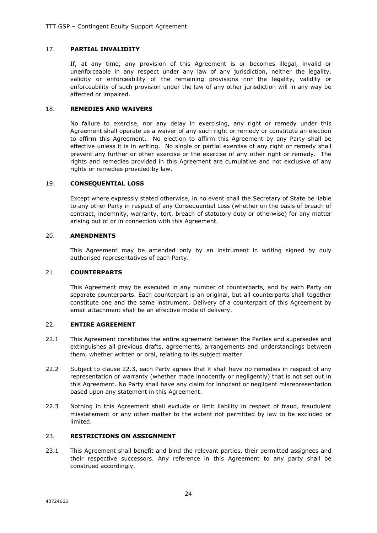# 17. **PARTIAL INVALIDITY**

If, at any time, any provision of this Agreement is or becomes illegal, invalid or unenforceable in any respect under any law of any jurisdiction, neither the legality, validity or enforceability of the remaining provisions nor the legality, validity or enforceability of such provision under the law of any other jurisdiction will in any way be affected or impaired.

#### 18. **REMEDIES AND WAIVERS**

No failure to exercise, nor any delay in exercising, any right or remedy under this Agreement shall operate as a waiver of any such right or remedy or constitute an election to affirm this Agreement. No election to affirm this Agreement by any Party shall be effective unless it is in writing. No single or partial exercise of any right or remedy shall prevent any further or other exercise or the exercise of any other right or remedy. The rights and remedies provided in this Agreement are cumulative and not exclusive of any rights or remedies provided by law.

#### 19. **CONSEQUENTIAL LOSS**

Except where expressly stated otherwise, in no event shall the Secretary of State be liable to any other Party in respect of any Consequential Loss (whether on the basis of breach of contract, indemnity, warranty, tort, breach of statutory duty or otherwise) for any matter arising out of or in connection with this Agreement.

#### 20. **AMENDMENTS**

This Agreement may be amended only by an instrument in writing signed by duly authorised representatives of each Party.

#### 21. **COUNTERPARTS**

This Agreement may be executed in any number of counterparts, and by each Party on separate counterparts. Each counterpart is an original, but all counterparts shall together constitute one and the same instrument. Delivery of a counterpart of this Agreement by email attachment shall be an effective mode of delivery.

## 22. **ENTIRE AGREEMENT**

- 22.1 This Agreement constitutes the entire agreement between the Parties and supersedes and extinguishes all previous drafts, agreements, arrangements and understandings between them, whether written or oral, relating to its subject matter.
- 22.2 Subject to clause 22.3, each Party agrees that it shall have no remedies in respect of any representation or warranty (whether made innocently or negligently) that is not set out in this Agreement. No Party shall have any claim for innocent or negligent misrepresentation based upon any statement in this Agreement.
- 22.3 Nothing in this Agreement shall exclude or limit liability in respect of fraud, fraudulent misstatement or any other matter to the extent not permitted by law to be excluded or limited.

#### 23. **RESTRICTIONS ON ASSIGNMENT**

23.1 This Agreement shall benefit and bind the relevant parties, their permitted assignees and their respective successors. Any reference in this Agreement to any party shall be construed accordingly.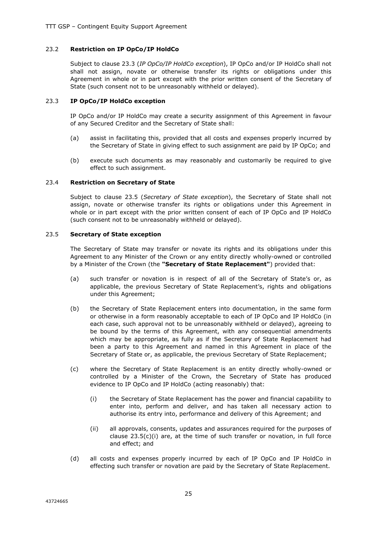#### 23.2 **Restriction on IP OpCo/IP HoldCo**

Subject to clause 23.3 (*IP OpCo/IP HoldCo exception*), IP OpCo and/or IP HoldCo shall not shall not assign, novate or otherwise transfer its rights or obligations under this Agreement in whole or in part except with the prior written consent of the Secretary of State (such consent not to be unreasonably withheld or delayed).

#### 23.3 **IP OpCo/IP HoldCo exception**

IP OpCo and/or IP HoldCo may create a security assignment of this Agreement in favour of any Secured Creditor and the Secretary of State shall:

- (a) assist in facilitating this, provided that all costs and expenses properly incurred by the Secretary of State in giving effect to such assignment are paid by IP OpCo; and
- (b) execute such documents as may reasonably and customarily be required to give effect to such assignment.

#### 23.4 **Restriction on Secretary of State**

Subject to clause 23.5 (*Secretary of State exception*), the Secretary of State shall not assign, novate or otherwise transfer its rights or obligations under this Agreement in whole or in part except with the prior written consent of each of IP OpCo and IP HoldCo (such consent not to be unreasonably withheld or delayed).

#### 23.5 **Secretary of State exception**

The Secretary of State may transfer or novate its rights and its obligations under this Agreement to any Minister of the Crown or any entity directly wholly-owned or controlled by a Minister of the Crown (the **"Secretary of State Replacement"**) provided that:

- (a) such transfer or novation is in respect of all of the Secretary of State's or, as applicable, the previous Secretary of State Replacement's, rights and obligations under this Agreement;
- (b) the Secretary of State Replacement enters into documentation, in the same form or otherwise in a form reasonably acceptable to each of IP OpCo and IP HoldCo (in each case, such approval not to be unreasonably withheld or delayed), agreeing to be bound by the terms of this Agreement, with any consequential amendments which may be appropriate, as fully as if the Secretary of State Replacement had been a party to this Agreement and named in this Agreement in place of the Secretary of State or, as applicable, the previous Secretary of State Replacement;
- (c) where the Secretary of State Replacement is an entity directly wholly-owned or controlled by a Minister of the Crown, the Secretary of State has produced evidence to IP OpCo and IP HoldCo (acting reasonably) that:
	- (i) the Secretary of State Replacement has the power and financial capability to enter into, perform and deliver, and has taken all necessary action to authorise its entry into, performance and delivery of this Agreement; and
	- (ii) all approvals, consents, updates and assurances required for the purposes of clause 23.5(c)(i) are, at the time of such transfer or novation, in full force and effect; and
- (d) all costs and expenses properly incurred by each of IP OpCo and IP HoldCo in effecting such transfer or novation are paid by the Secretary of State Replacement.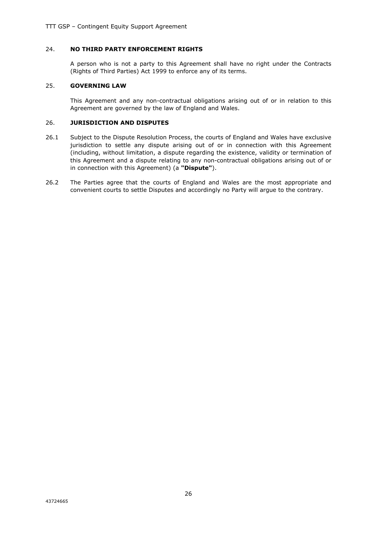# 24. **NO THIRD PARTY ENFORCEMENT RIGHTS**

A person who is not a party to this Agreement shall have no right under the Contracts (Rights of Third Parties) Act 1999 to enforce any of its terms.

#### 25. **GOVERNING LAW**

This Agreement and any non-contractual obligations arising out of or in relation to this Agreement are governed by the law of England and Wales.

#### 26. **JURISDICTION AND DISPUTES**

- 26.1 Subject to the Dispute Resolution Process, the courts of England and Wales have exclusive jurisdiction to settle any dispute arising out of or in connection with this Agreement (including, without limitation, a dispute regarding the existence, validity or termination of this Agreement and a dispute relating to any non-contractual obligations arising out of or in connection with this Agreement) (a **"Dispute"**).
- 26.2 The Parties agree that the courts of England and Wales are the most appropriate and convenient courts to settle Disputes and accordingly no Party will argue to the contrary.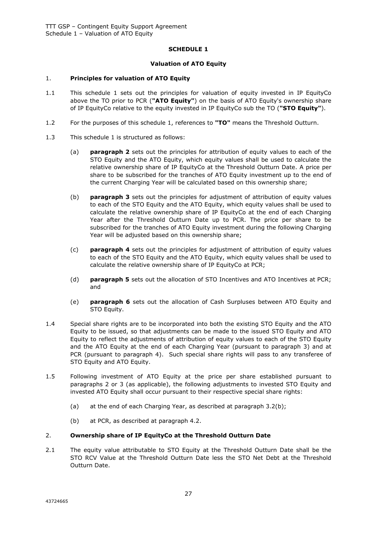# **SCHEDULE 1**

#### **Valuation of ATO Equity**

#### 1. **Principles for valuation of ATO Equity**

- 1.1 This schedule 1 sets out the principles for valuation of equity invested in IP EquityCo above the TO prior to PCR (**"ATO Equity"**) on the basis of ATO Equity's ownership share of IP EquityCo relative to the equity invested in IP EquityCo sub the TO (**"STO Equity"**).
- 1.2 For the purposes of this schedule 1, references to **"TO"** means the Threshold Outturn.
- 1.3 This schedule 1 is structured as follows:
	- (a) **paragraph 2** sets out the principles for attribution of equity values to each of the STO Equity and the ATO Equity, which equity values shall be used to calculate the relative ownership share of IP EquityCo at the Threshold Outturn Date. A price per share to be subscribed for the tranches of ATO Equity investment up to the end of the current Charging Year will be calculated based on this ownership share;
	- (b) **paragraph 3** sets out the principles for adjustment of attribution of equity values to each of the STO Equity and the ATO Equity, which equity values shall be used to calculate the relative ownership share of IP EquityCo at the end of each Charging Year after the Threshold Outturn Date up to PCR. The price per share to be subscribed for the tranches of ATO Equity investment during the following Charging Year will be adjusted based on this ownership share;
	- (c) **paragraph 4** sets out the principles for adjustment of attribution of equity values to each of the STO Equity and the ATO Equity, which equity values shall be used to calculate the relative ownership share of IP EquityCo at PCR;
	- (d) **paragraph 5** sets out the allocation of STO Incentives and ATO Incentives at PCR; and
	- (e) **paragraph 6** sets out the allocation of Cash Surpluses between ATO Equity and STO Equity.
- 1.4 Special share rights are to be incorporated into both the existing STO Equity and the ATO Equity to be issued, so that adjustments can be made to the issued STO Equity and ATO Equity to reflect the adjustments of attribution of equity values to each of the STO Equity and the ATO Equity at the end of each Charging Year (pursuant to paragraph 3) and at PCR (pursuant to paragraph 4). Such special share rights will pass to any transferee of STO Equity and ATO Equity.
- 1.5 Following investment of ATO Equity at the price per share established pursuant to paragraphs 2 or 3 (as applicable), the following adjustments to invested STO Equity and invested ATO Equity shall occur pursuant to their respective special share rights:
	- (a) at the end of each Charging Year, as described at paragraph 3.2(b);
	- (b) at PCR, as described at paragraph 4.2.

#### 2. **Ownership share of IP EquityCo at the Threshold Outturn Date**

2.1 The equity value attributable to STO Equity at the Threshold Outturn Date shall be the STO RCV Value at the Threshold Outturn Date less the STO Net Debt at the Threshold Outturn Date.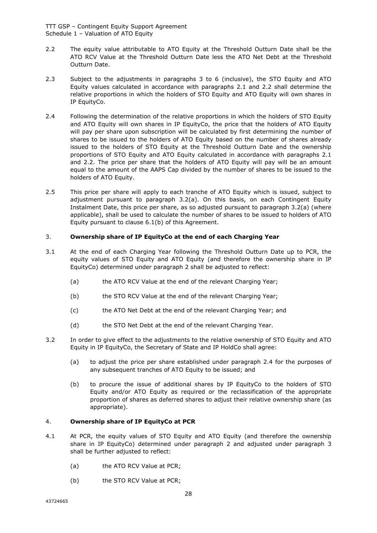TTT GSP – Contingent Equity Support Agreement Schedule 1 – Valuation of ATO Equity

- 2.2 The equity value attributable to ATO Equity at the Threshold Outturn Date shall be the ATO RCV Value at the Threshold Outturn Date less the ATO Net Debt at the Threshold Outturn Date.
- 2.3 Subject to the adjustments in paragraphs 3 to 6 (inclusive), the STO Equity and ATO Equity values calculated in accordance with paragraphs 2.1 and 2.2 shall determine the relative proportions in which the holders of STO Equity and ATO Equity will own shares in IP EquityCo.
- 2.4 Following the determination of the relative proportions in which the holders of STO Equity and ATO Equity will own shares in IP EquityCo, the price that the holders of ATO Equity will pay per share upon subscription will be calculated by first determining the number of shares to be issued to the holders of ATO Equity based on the number of shares already issued to the holders of STO Equity at the Threshold Outturn Date and the ownership proportions of STO Equity and ATO Equity calculated in accordance with paragraphs 2.1 and 2.2. The price per share that the holders of ATO Equity will pay will be an amount equal to the amount of the AAPS Cap divided by the number of shares to be issued to the holders of ATO Equity.
- 2.5 This price per share will apply to each tranche of ATO Equity which is issued, subject to adjustment pursuant to paragraph 3.2(a). On this basis, on each Contingent Equity Instalment Date, this price per share, as so adjusted pursuant to paragraph 3.2(a) (where applicable), shall be used to calculate the number of shares to be issued to holders of ATO Equity pursuant to clause 6.1(b) of this Agreement.

## 3. **Ownership share of IP EquityCo at the end of each Charging Year**

- 3.1 At the end of each Charging Year following the Threshold Outturn Date up to PCR, the equity values of STO Equity and ATO Equity (and therefore the ownership share in IP EquityCo) determined under paragraph 2 shall be adjusted to reflect:
	- (a) the ATO RCV Value at the end of the relevant Charging Year;
	- (b) the STO RCV Value at the end of the relevant Charging Year;
	- (c) the ATO Net Debt at the end of the relevant Charging Year; and
	- (d) the STO Net Debt at the end of the relevant Charging Year.
- 3.2 In order to give effect to the adjustments to the relative ownership of STO Equity and ATO Equity in IP EquityCo, the Secretary of State and IP HoldCo shall agree:
	- (a) to adjust the price per share established under paragraph 2.4 for the purposes of any subsequent tranches of ATO Equity to be issued; and
	- (b) to procure the issue of additional shares by IP EquityCo to the holders of STO Equity and/or ATO Equity as required or the reclassification of the appropriate proportion of shares as deferred shares to adjust their relative ownership share (as appropriate).

#### 4. **Ownership share of IP EquityCo at PCR**

- 4.1 At PCR, the equity values of STO Equity and ATO Equity (and therefore the ownership share in IP EquityCo) determined under paragraph 2 and adjusted under paragraph 3 shall be further adjusted to reflect:
	- (a) the ATO RCV Value at PCR;
	- (b) the STO RCV Value at PCR;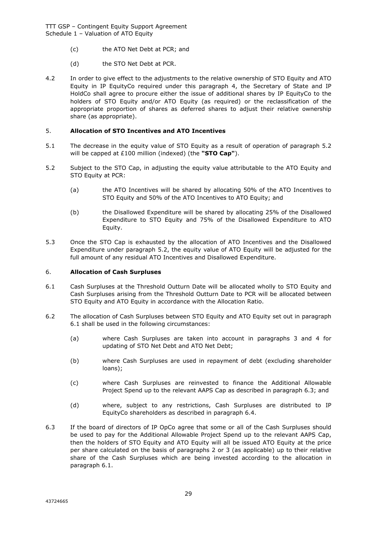TTT GSP – Contingent Equity Support Agreement Schedule 1 – Valuation of ATO Equity

- (c) the ATO Net Debt at PCR; and
- (d) the STO Net Debt at PCR.
- 4.2 In order to give effect to the adjustments to the relative ownership of STO Equity and ATO Equity in IP EquityCo required under this paragraph 4, the Secretary of State and IP HoldCo shall agree to procure either the issue of additional shares by IP EquityCo to the holders of STO Equity and/or ATO Equity (as required) or the reclassification of the appropriate proportion of shares as deferred shares to adjust their relative ownership share (as appropriate).

# 5. **Allocation of STO Incentives and ATO Incentives**

- 5.1 The decrease in the equity value of STO Equity as a result of operation of paragraph 5.2 will be capped at £100 million (indexed) (the **"STO Cap"**).
- 5.2 Subject to the STO Cap, in adjusting the equity value attributable to the ATO Equity and STO Equity at PCR:
	- (a) the ATO Incentives will be shared by allocating 50% of the ATO Incentives to STO Equity and 50% of the ATO Incentives to ATO Equity; and
	- (b) the Disallowed Expenditure will be shared by allocating 25% of the Disallowed Expenditure to STO Equity and 75% of the Disallowed Expenditure to ATO Equity.
- 5.3 Once the STO Cap is exhausted by the allocation of ATO Incentives and the Disallowed Expenditure under paragraph 5.2, the equity value of ATO Equity will be adjusted for the full amount of any residual ATO Incentives and Disallowed Expenditure.

#### 6. **Allocation of Cash Surpluses**

- 6.1 Cash Surpluses at the Threshold Outturn Date will be allocated wholly to STO Equity and Cash Surpluses arising from the Threshold Outturn Date to PCR will be allocated between STO Equity and ATO Equity in accordance with the Allocation Ratio.
- 6.2 The allocation of Cash Surpluses between STO Equity and ATO Equity set out in paragraph 6.1 shall be used in the following circumstances:
	- (a) where Cash Surpluses are taken into account in paragraphs 3 and 4 for updating of STO Net Debt and ATO Net Debt;
	- (b) where Cash Surpluses are used in repayment of debt (excluding shareholder loans);
	- (c) where Cash Surpluses are reinvested to finance the Additional Allowable Project Spend up to the relevant AAPS Cap as described in paragraph 6.3; and
	- (d) where, subject to any restrictions, Cash Surpluses are distributed to IP EquityCo shareholders as described in paragraph 6.4.
- 6.3 If the board of directors of IP OpCo agree that some or all of the Cash Surpluses should be used to pay for the Additional Allowable Project Spend up to the relevant AAPS Cap, then the holders of STO Equity and ATO Equity will all be issued ATO Equity at the price per share calculated on the basis of paragraphs 2 or 3 (as applicable) up to their relative share of the Cash Surpluses which are being invested according to the allocation in paragraph 6.1.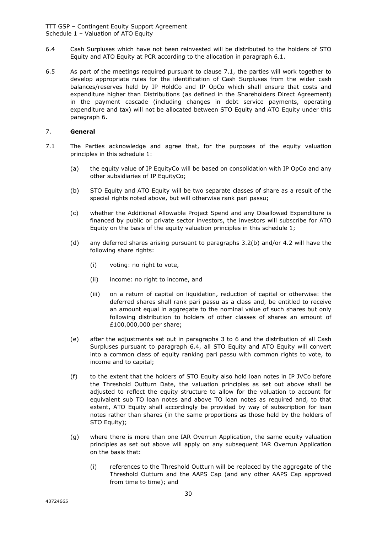TTT GSP – Contingent Equity Support Agreement Schedule 1 – Valuation of ATO Equity

- 6.4 Cash Surpluses which have not been reinvested will be distributed to the holders of STO Equity and ATO Equity at PCR according to the allocation in paragraph 6.1.
- 6.5 As part of the meetings required pursuant to clause 7.1, the parties will work together to develop appropriate rules for the identification of Cash Surpluses from the wider cash balances/reserves held by IP HoldCo and IP OpCo which shall ensure that costs and expenditure higher than Distributions (as defined in the Shareholders Direct Agreement) in the payment cascade (including changes in debt service payments, operating expenditure and tax) will not be allocated between STO Equity and ATO Equity under this paragraph 6.

# 7. **General**

- 7.1 The Parties acknowledge and agree that, for the purposes of the equity valuation principles in this schedule 1:
	- (a) the equity value of IP EquityCo will be based on consolidation with IP OpCo and any other subsidiaries of IP EquityCo;
	- (b) STO Equity and ATO Equity will be two separate classes of share as a result of the special rights noted above, but will otherwise rank pari passu;
	- (c) whether the Additional Allowable Project Spend and any Disallowed Expenditure is financed by public or private sector investors, the investors will subscribe for ATO Equity on the basis of the equity valuation principles in this schedule 1;
	- (d) any deferred shares arising pursuant to paragraphs 3.2(b) and/or 4.2 will have the following share rights:
		- (i) voting: no right to vote,
		- (ii) income: no right to income, and
		- (iii) on a return of capital on liquidation, reduction of capital or otherwise: the deferred shares shall rank pari passu as a class and, be entitled to receive an amount equal in aggregate to the nominal value of such shares but only following distribution to holders of other classes of shares an amount of £100,000,000 per share;
	- (e) after the adjustments set out in paragraphs 3 to 6 and the distribution of all Cash Surpluses pursuant to paragraph 6.4, all STO Equity and ATO Equity will convert into a common class of equity ranking pari passu with common rights to vote, to income and to capital;
	- (f) to the extent that the holders of STO Equity also hold loan notes in IP JVCo before the Threshold Outturn Date, the valuation principles as set out above shall be adjusted to reflect the equity structure to allow for the valuation to account for equivalent sub TO loan notes and above TO loan notes as required and, to that extent, ATO Equity shall accordingly be provided by way of subscription for loan notes rather than shares (in the same proportions as those held by the holders of STO Equity);
	- (g) where there is more than one IAR Overrun Application, the same equity valuation principles as set out above will apply on any subsequent IAR Overrun Application on the basis that:
		- (i) references to the Threshold Outturn will be replaced by the aggregate of the Threshold Outturn and the AAPS Cap (and any other AAPS Cap approved from time to time); and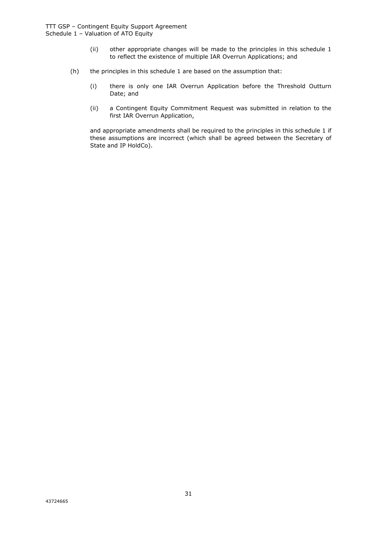- (ii) other appropriate changes will be made to the principles in this schedule 1 to reflect the existence of multiple IAR Overrun Applications; and
- (h) the principles in this schedule 1 are based on the assumption that:
	- (i) there is only one IAR Overrun Application before the Threshold Outturn Date; and
	- (ii) a Contingent Equity Commitment Request was submitted in relation to the first IAR Overrun Application,

and appropriate amendments shall be required to the principles in this schedule 1 if these assumptions are incorrect (which shall be agreed between the Secretary of State and IP HoldCo).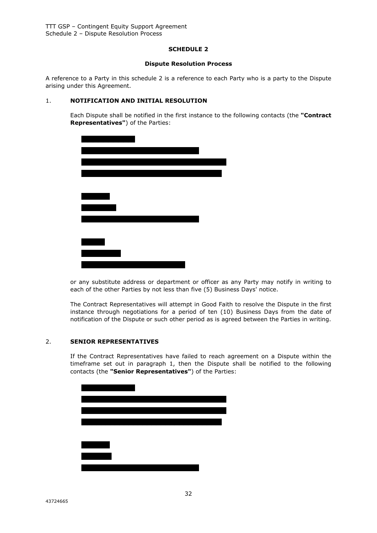#### **SCHEDULE 2**

#### **Dispute Resolution Process**

A reference to a Party in this schedule 2 is a reference to each Party who is a party to the Dispute arising under this Agreement.

# 1. **NOTIFICATION AND INITIAL RESOLUTION**

Each Dispute shall be notified in the first instance to the following contacts (the **"Contract Representatives"**) of the Parties:



or any substitute address or department or officer as any Party may notify in writing to each of the other Parties by not less than five (5) Business Days' notice.

The Contract Representatives will attempt in Good Faith to resolve the Dispute in the first instance through negotiations for a period of ten (10) Business Days from the date of notification of the Dispute or such other period as is agreed between the Parties in writing.

#### 2. **SENIOR REPRESENTATIVES**

If the Contract Representatives have failed to reach agreement on a Dispute within the timeframe set out in paragraph 1, then the Dispute shall be notified to the following contacts (the **"Senior Representatives"**) of the Parties: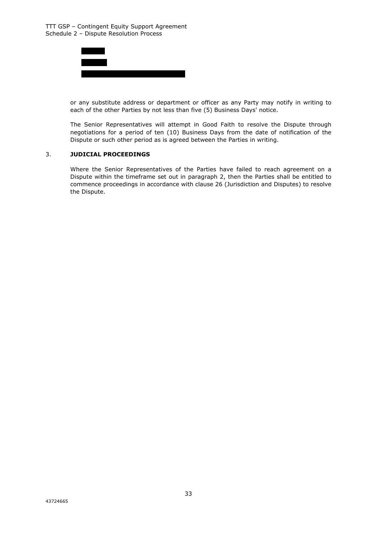

or any substitute address or department or officer as any Party may notify in writing to each of the other Parties by not less than five (5) Business Days' notice.

The Senior Representatives will attempt in Good Faith to resolve the Dispute through negotiations for a period of ten (10) Business Days from the date of notification of the Dispute or such other period as is agreed between the Parties in writing.

#### 3. **JUDICIAL PROCEEDINGS**

Where the Senior Representatives of the Parties have failed to reach agreement on a Dispute within the timeframe set out in paragraph 2, then the Parties shall be entitled to commence proceedings in accordance with clause 26 (Jurisdiction and Disputes) to resolve the Dispute.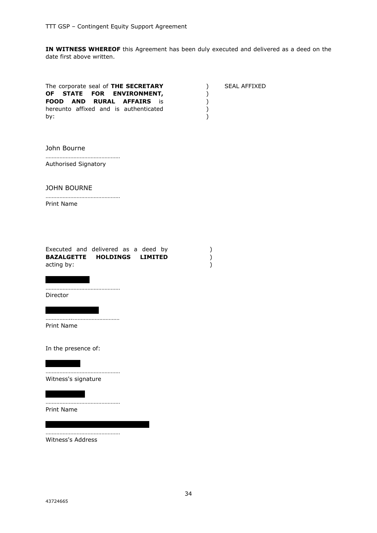**IN WITNESS WHEREOF** this Agreement has been duly executed and delivered as a deed on the date first above written.

| The corporate seal of THE SECRETARY<br>OF STATE FOR ENVIRONMENT,<br><b>RURAL AFFAIRS</b><br>FOOD AND<br>is is<br>hereunto affixed and is authenticated<br>by: | $\mathcal{C}$<br>)<br>)<br>)<br>) | <b>SEAL AFFIXED</b> |
|---------------------------------------------------------------------------------------------------------------------------------------------------------------|-----------------------------------|---------------------|
| John Bourne                                                                                                                                                   |                                   |                     |
| Authorised Signatory                                                                                                                                          |                                   |                     |
| <b>JOHN BOURNE</b><br>Print Name                                                                                                                              |                                   |                     |
| Executed and delivered as a deed by<br><b>BAZALGETTE HOLDINGS</b><br><b>LIMITED</b><br>acting by:                                                             | )<br>)<br>)                       |                     |
| Director                                                                                                                                                      |                                   |                     |
| Print Name                                                                                                                                                    |                                   |                     |
| In the presence of:                                                                                                                                           |                                   |                     |
| Witness's signature                                                                                                                                           |                                   |                     |
| Print Name                                                                                                                                                    |                                   |                     |
| Witness's Address                                                                                                                                             |                                   |                     |